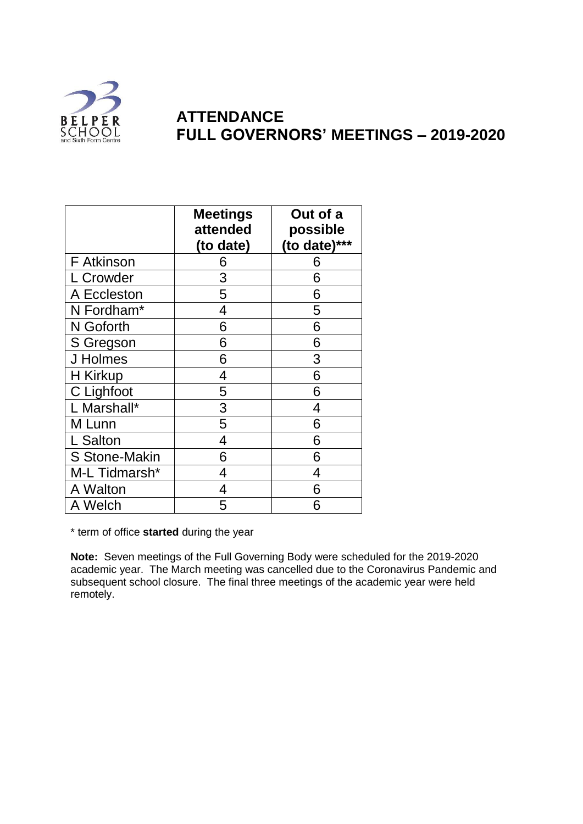

## **ATTENDANCE FULL GOVERNORS' MEETINGS – 2019-2020**

|                      | <b>Meetings</b><br>attended<br>(to date) | Out of a<br>possible<br>(to date)*** |
|----------------------|------------------------------------------|--------------------------------------|
| <b>F</b> Atkinson    | 6                                        | 6                                    |
| L Crowder            | 3                                        | 6                                    |
| A Eccleston          | 5                                        | 6                                    |
| N Fordham*           | 4                                        | 5                                    |
| N Goforth            | 6                                        | 6                                    |
| S Gregson            | 6                                        | 6                                    |
| J Holmes             | 6                                        | 3                                    |
| H Kirkup             | 4                                        | 6                                    |
| C Lighfoot           | 5                                        | 6                                    |
| L Marshall*          | 3                                        | 4                                    |
| M Lunn               | 5                                        | 6                                    |
| L Salton             | 4                                        | 6                                    |
| <b>S Stone-Makin</b> | 6                                        | 6                                    |
| M-L Tidmarsh*        | 4                                        | 4                                    |
| A Walton             | 4                                        | 6                                    |
| A Welch              | 5                                        |                                      |

\* term of office **started** during the year

**Note:** Seven meetings of the Full Governing Body were scheduled for the 2019-2020 academic year. The March meeting was cancelled due to the Coronavirus Pandemic and subsequent school closure. The final three meetings of the academic year were held remotely.